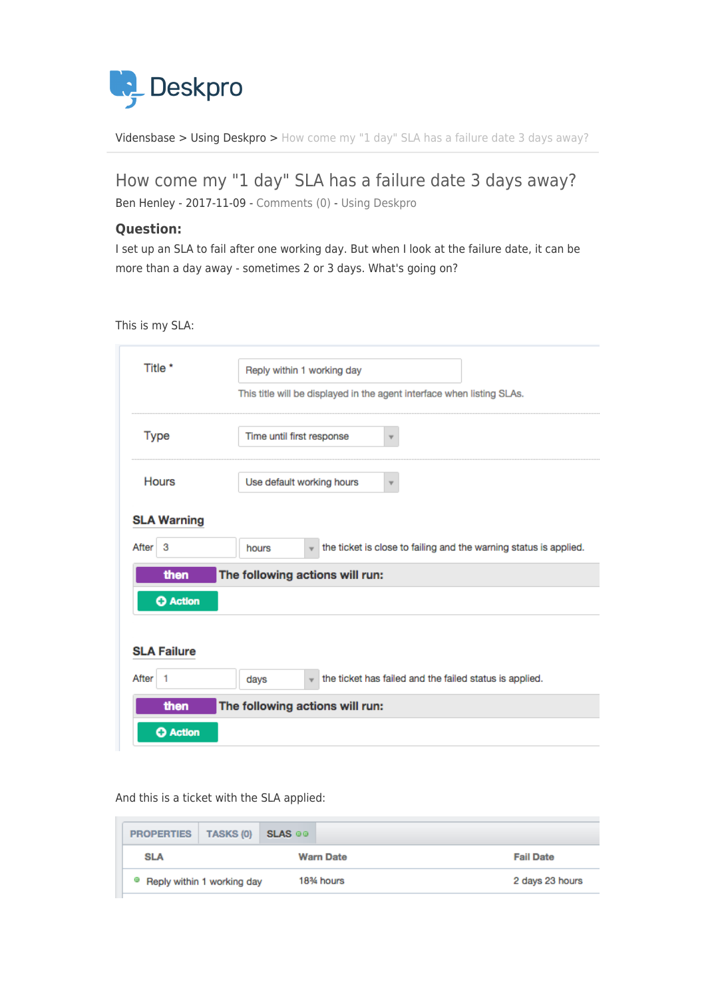

[Vidensbase](https://support.deskpro.com/da/kb) > [Using Deskpro](https://support.deskpro.com/da/kb/using-deskpro) > [How come my "1 day" SLA has a failure date 3 days away?](https://support.deskpro.com/da/kb/articles/how-come-my-1-day-sla-has-a-failure-date-3-days-away)

## How come my "1 day" SLA has a failure date 3 days away?

Ben Henley - 2017-11-09 - [Comments \(0\)](#page--1-0) - [Using Deskpro](https://support.deskpro.com/da/kb/using-deskpro)

## **Question:**

I set up an SLA to fail after one working day. But when I look at the failure date, it can be more than a day away - sometimes 2 or 3 days. What's going on?

This is my SLA:

| Title *                                 | Reply within 1 working day<br>This title will be displayed in the agent interface when listing SLAs. |  |  |  |  |  |
|-----------------------------------------|------------------------------------------------------------------------------------------------------|--|--|--|--|--|
| Type                                    | Time until first response<br>۳                                                                       |  |  |  |  |  |
| <b>Hours</b>                            | Use default working hours                                                                            |  |  |  |  |  |
| <b>SLA Warning</b>                      |                                                                                                      |  |  |  |  |  |
| After<br>3                              | the ticket is close to failing and the warning status is applied.<br>hours                           |  |  |  |  |  |
| The following actions will run:<br>then |                                                                                                      |  |  |  |  |  |
| <b>O</b> Action                         |                                                                                                      |  |  |  |  |  |
| <b>SLA Failure</b>                      |                                                                                                      |  |  |  |  |  |
| After<br>$\overline{1}$                 | the ticket has failed and the failed status is applied.<br>days<br>$\mathbf{v}$                      |  |  |  |  |  |
| then                                    | The following actions will run:                                                                      |  |  |  |  |  |
| <b>O</b> Action                         |                                                                                                      |  |  |  |  |  |

And this is a ticket with the SLA applied:

|  | <b>PROPERTIES</b> | <b>TASKS (0)</b>           | <b>SLAS</b> @@ |                  |                  |
|--|-------------------|----------------------------|----------------|------------------|------------------|
|  | <b>SLA</b>        |                            |                | <b>Warn Date</b> | <b>Fail Date</b> |
|  | o                 | Reply within 1 working day |                | 18% hours        | 2 days 23 hours  |